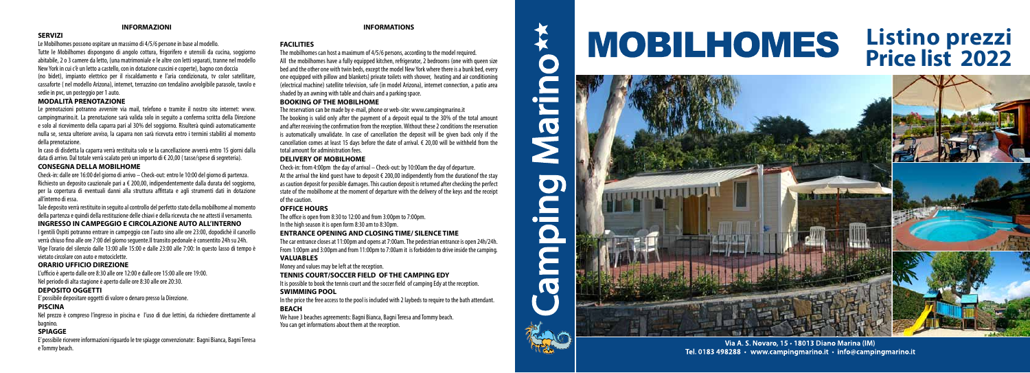# **INFORMAZIONI**

# **SERVIZI**

Le Mobilhomes possono ospitare un massimo di 4/5/6 persone in base al modello. Tutte le Mobilhomes dispongono di angolo cottura, frigorifero e utensili da cucina, soggiorno abitabile, 2 o 3 camere da letto, (una matrimoniale e le altre con letti separati, tranne nel modello New York in cui c'è un letto a castello, con in dotazione cuscini e coperte), bagno con doccia (no bidet), impianto elettrico per il riscaldamento e l'aria condizionata, tv color satellitare, cassaforte ( nel modello Arizona), internet, terrazzino con tendalino avvolgibile parasole, tavolo e sedie in pvc, un posteggio per 1 auto.

### **MODALITÀ PRENOTAZIONE**

Le prenotazioni potranno avvenire via mail, telefono o tramite il nostro sito internet: www. campingmarino.it. La prenotazione sarà valida solo in seguito a conferma scritta della Direzione e solo al ricevimento della caparra pari al 30% del soggiorno. Risulterà quindi automaticamente nulla se, senza ulteriore avviso, la caparra non sarà ricevuta entro i termini stabiliti al momento della prenotazione.

In caso di disdetta la caparra verrà restituita solo se la cancellazione avverrà entro 15 giorni dalla data di arrivo. Dal totale verrà scalato però un importo di € 20,00 ( tasse/spese di segreteria).

#### **CONSEGNA DELLA MOBILHOME**

Check-in: dalle ore 16:00 del giorno di arrivo – Check-out: entro le 10:00 del giorno di partenza. Richiesto un deposito cauzionale pari a € 200,00, indipendentemente dalla durata del soggiorno, per la copertura di eventuali danni alla struttura affittata e agli strumenti dati in dotazione all'interno di essa.

Tale deposito verrà restituito in seguito al controllo del perfetto stato della mobilhome al momento della partenza e quindi della restituzione delle chiavi e della ricevuta che ne attesti il versamento.

### **INGRESSO IN CAMPEGGIO E CIRCOLAZIONE AUTO ALL'INTERNO**

I gentili Ospiti potranno entrare in campeggio con l'auto sino alle ore 23:00, dopodichè il cancello verrà chiuso fino alle ore 7:00 del giorno seguente.Il transito pedonale è consentito 24h su 24h. Vige l'orario del silenzio dalle 13:00 alle 15:00 e dalle 23:00 alle 7:00: In questo lasso di tempo è vietato circolare con auto e motociclette.

#### **ORARIO UFFICIO DIREZIONE**

L'ufficio è aperto dalle ore 8:30 alle ore 12:00 e dalle ore 15:00 alle ore 19:00. Nel periodo di alta stagione è aperto dalle ore 8:30 alle ore 20:30.

#### **DEPOSITO OGGETTI**

E' possibile depositare oggetti di valore o denaro presso la Direzione.

In the price the free access to the pool is included with 2 laybeds to require to the bath attendant. **BEACH**

# **PISCINA**

Nel prezzo è compreso l'ingresso in piscina e l'uso di due lettini, da richiedere direttamente al bagnino.

# **SPIAGGE**

E' possibile ricevere informazioni riguardo le tre spiagge convenzionate: Bagni Bianca, Bagni Teresa e Tommy beach.

#### **INFORMATIONS**

# **FACILITIES**

The mobilhomes can host a maximum of 4/5/6 persons, according to the model required. All the mobilhomes have a fully equipped kitchen, refrigerator, 2 bedrooms (one with queen size bed and the other one with twin beds, except the model New York where there is a bunk bed, every one equipped with pillow and blankets) private toilets with shower, heating and air conditioning (electrical machine) satellite television, safe (in model Arizona), internet connection, a patio area shaded by an awning with table and chairs and a parking space.

#### **BOOKING OF THE MOBILHOME**

The reservation can be made by e-mail, phone or web-site: www.campingmarino.it The booking is valid only after the payment of a deposit equal to the 30% of the total amount and after receiving the confirmation from the reception. Without these 2 conditions the reservation is automatically unvalidate. In case of cancellation the deposit will be given back only if the cancellation comes at least 15 days before the date of arrival. € 20,00 will be withheld from the total amount for administration fees.

#### **DELIVERY OF MOBILHOME**

Check-in: from 4:00pm the day of arrival – Check-out: by 10:00am the day of departure. At the arrival the kind quest have to deposit  $\epsilon$  200.00 indipendently from the durationof the stay as caution deposit for possible damages. This caution deposit is returned after checking the perfect state of the mobilhome at the moment of departure with the delivery of the keys and the receipt of the caution.

# **OFFICE HOURS**

The office is open from  $8:30$  to  $12:00$  and from  $3:00$ pm to  $7:00$ pm.

In the high season it is open form 8:30 am to 8:30pm.

# **ENTRANCE OPENING AND CLOSING TIME/ SILENCE TIME**

The car entrance closes at 11:00pm and opens at 7:00am. The pedestrian entrance is open 24h/24h. From 1:00pm and 3:00pm and from 11:00pm to 7:00am it is forbidden to drive inside the camping. **VALUABLES**

Money and values may be left at the reception.

# **TENNIS COURT/SOCCER FIELD OF THE CAMPING EDY**

It is possible to book the tennis court and the soccer field of camping Edy at the reception.

### **SWIMMING POOL**

We have 3 beaches agreements: Bagni Bianca, Bagni Teresa and Tommy beach. You can get informations about them at the reception.



Tel. 0183 498288 • www.campingmarino.it • info@campingmarino.it